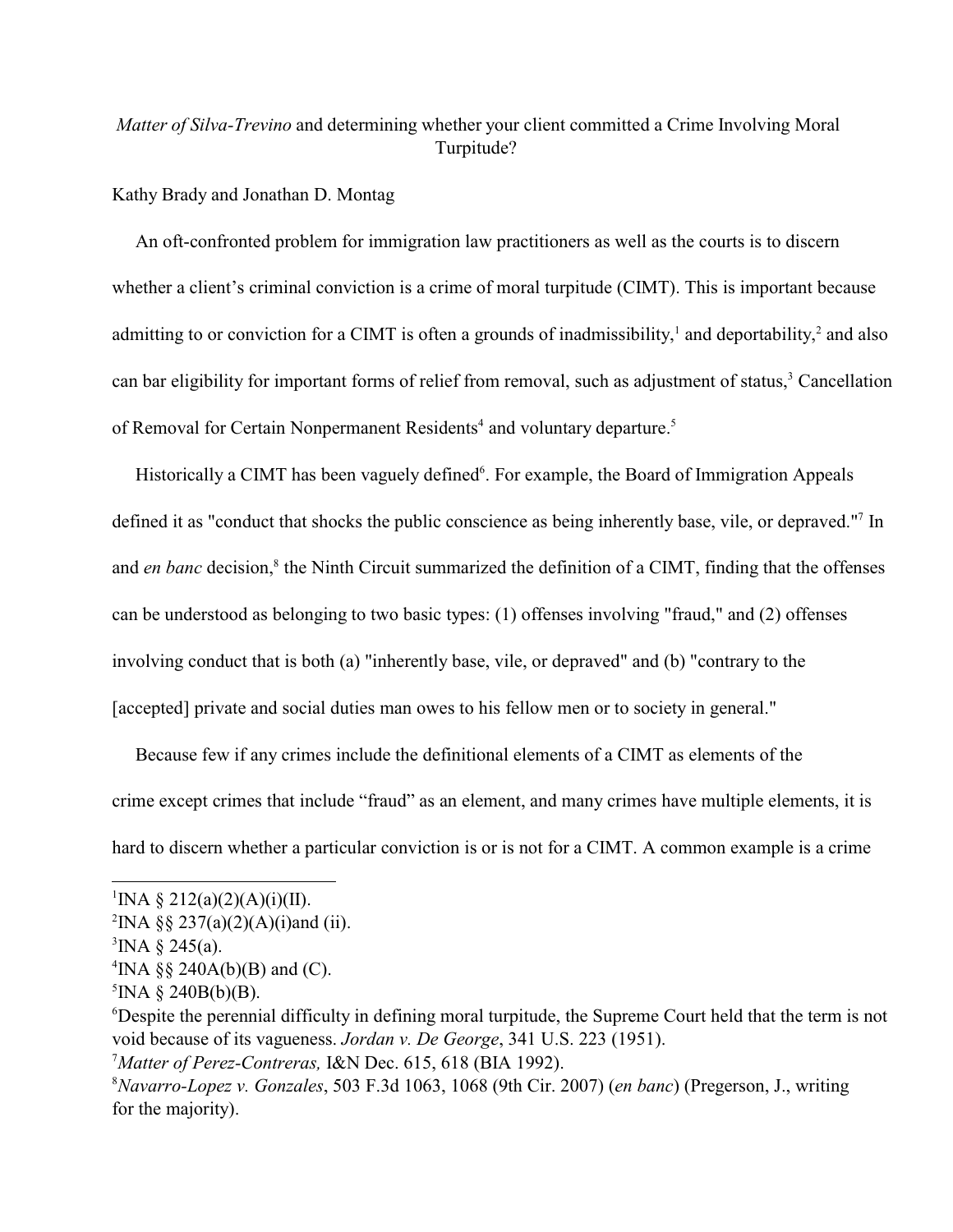# *Matter of Silva-Trevino* and determining whether your client committed a Crime Involving Moral Turpitude?

## Kathy Brady and Jonathan D. Montag

 An oft-confronted problem for immigration law practitioners as well as the courts is to discern whether a client's criminal conviction is a crime of moral turpitude (CIMT). This is important because admitting to or conviction for a CIMT is often a grounds of inadmissibility,<sup>1</sup> and deportability,<sup>2</sup> and also can bar eligibility for important forms of relief from removal, such as adjustment of status,<sup>3</sup> Cancellation of Removal for Certain Nonpermanent Residents<sup>4</sup> and voluntary departure.<sup>5</sup>

Historically a CIMT has been vaguely defined<sup>6</sup>. For example, the Board of Immigration Appeals defined it as "conduct that shocks the public conscience as being inherently base, vile, or depraved."<sup>7</sup> In and *en banc* decision,<sup>8</sup> the Ninth Circuit summarized the definition of a CIMT, finding that the offenses can be understood as belonging to two basic types: (1) offenses involving "fraud," and (2) offenses involving conduct that is both (a) "inherently base, vile, or depraved" and (b) "contrary to the [accepted] private and social duties man owes to his fellow men or to society in general."

 Because few if any crimes include the definitional elements of a CIMT as elements of the crime except crimes that include "fraud" as an element, and many crimes have multiple elements, it is hard to discern whether a particular conviction is or is not for a CIMT. A common example is a crime

<sup>&</sup>lt;sup>1</sup>INA § 212(a)(2)(A)(i)(II).

<sup>&</sup>lt;sup>2</sup>INA §§ 237(a)(2)(A)(i)and (ii).

 ${}^{3}$ INA § 245(a).

<sup>&</sup>lt;sup>4</sup>INA §§ 240A(b)(B) and (C).

 ${}^5$ INA § 240B(b)(B).

<sup>&</sup>lt;sup>6</sup>Despite the perennial difficulty in defining moral turpitude, the Supreme Court held that the term is not void because of its vagueness. *Jordan v. De George*, 341 U.S. 223 (1951).

<sup>&</sup>lt;sup>7</sup> Matter of Perez-Contreras, I&N Dec. 615, 618 (BIA 1992).

*Navarro-Lopez v. Gonzales*, 503 F.3d 1063, 1068 (9th Cir. 2007) (*en banc*) (Pregerson, J., writing <sup>8</sup> for the majority).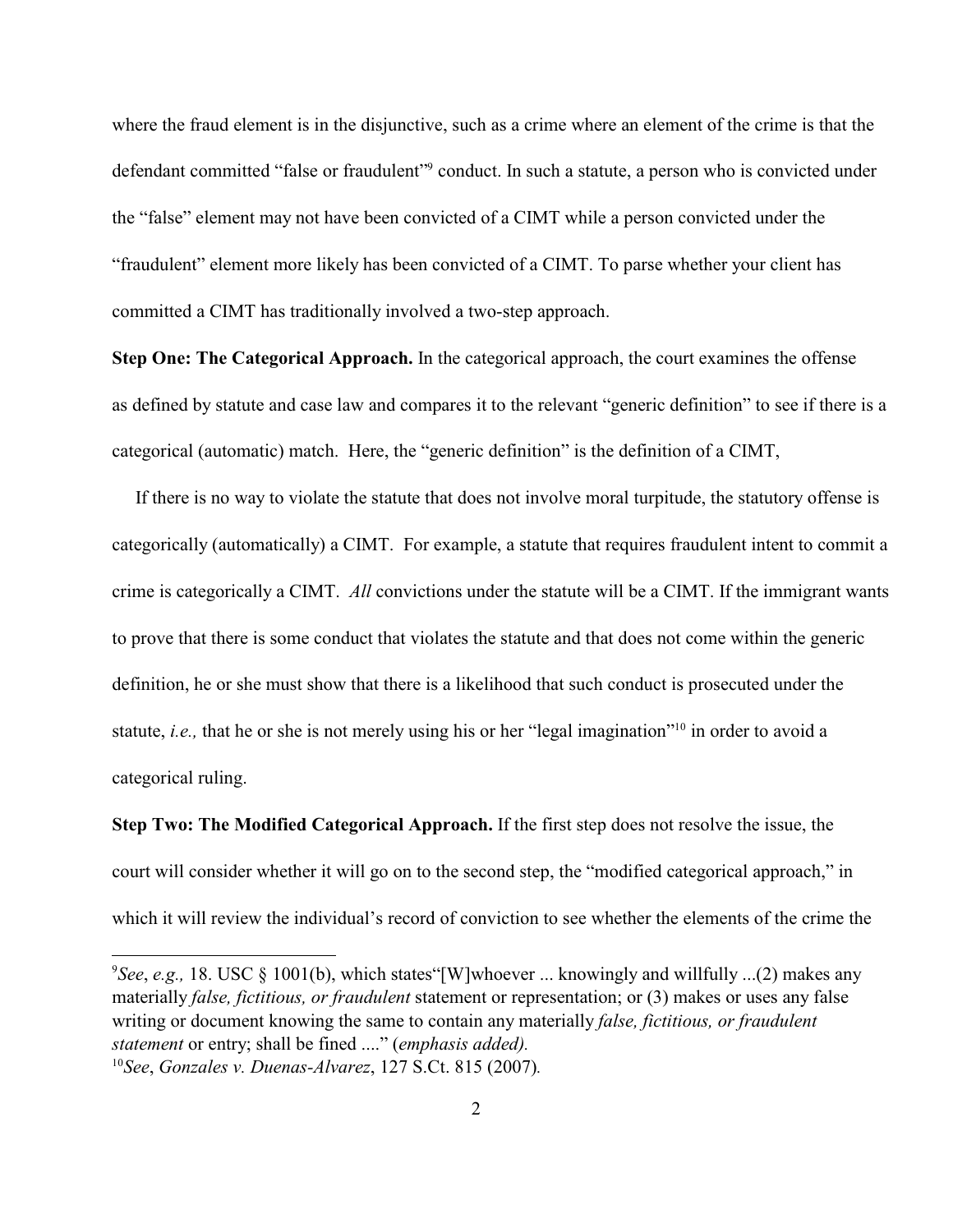where the fraud element is in the disjunctive, such as a crime where an element of the crime is that the defendant committed "false or fraudulent"<sup>9</sup> conduct. In such a statute, a person who is convicted under the "false" element may not have been convicted of a CIMT while a person convicted under the "fraudulent" element more likely has been convicted of a CIMT. To parse whether your client has committed a CIMT has traditionally involved a two-step approach.

**Step One: The Categorical Approach.** In the categorical approach, the court examines the offense as defined by statute and case law and compares it to the relevant "generic definition" to see if there is a categorical (automatic) match. Here, the "generic definition" is the definition of a CIMT,

 If there is no way to violate the statute that does not involve moral turpitude, the statutory offense is categorically (automatically) a CIMT. For example, a statute that requires fraudulent intent to commit a crime is categorically a CIMT. *All* convictions under the statute will be a CIMT. If the immigrant wants to prove that there is some conduct that violates the statute and that does not come within the generic definition, he or she must show that there is a likelihood that such conduct is prosecuted under the statute, *i.e.*, that he or she is not merely using his or her "legal imagination"<sup>10</sup> in order to avoid a categorical ruling.

**Step Two: The Modified Categorical Approach.** If the first step does not resolve the issue, the court will consider whether it will go on to the second step, the "modified categorical approach," in which it will review the individual's record of conviction to see whether the elements of the crime the

<sup>&</sup>lt;sup>9</sup>See, e.g., 18. USC § 1001(b), which states "[W]whoever ... knowingly and willfully ...(2) makes any materially *false, fictitious, or fraudulent* statement or representation; or (3) makes or uses any false writing or document knowing the same to contain any materially *false, fictitious, or fraudulent statement* or entry; shall be fined ...." (*emphasis added).*

*See*, *Gonzales v. Duenas-Alvarez*, 127 S.Ct. 815 (2007)*.* 10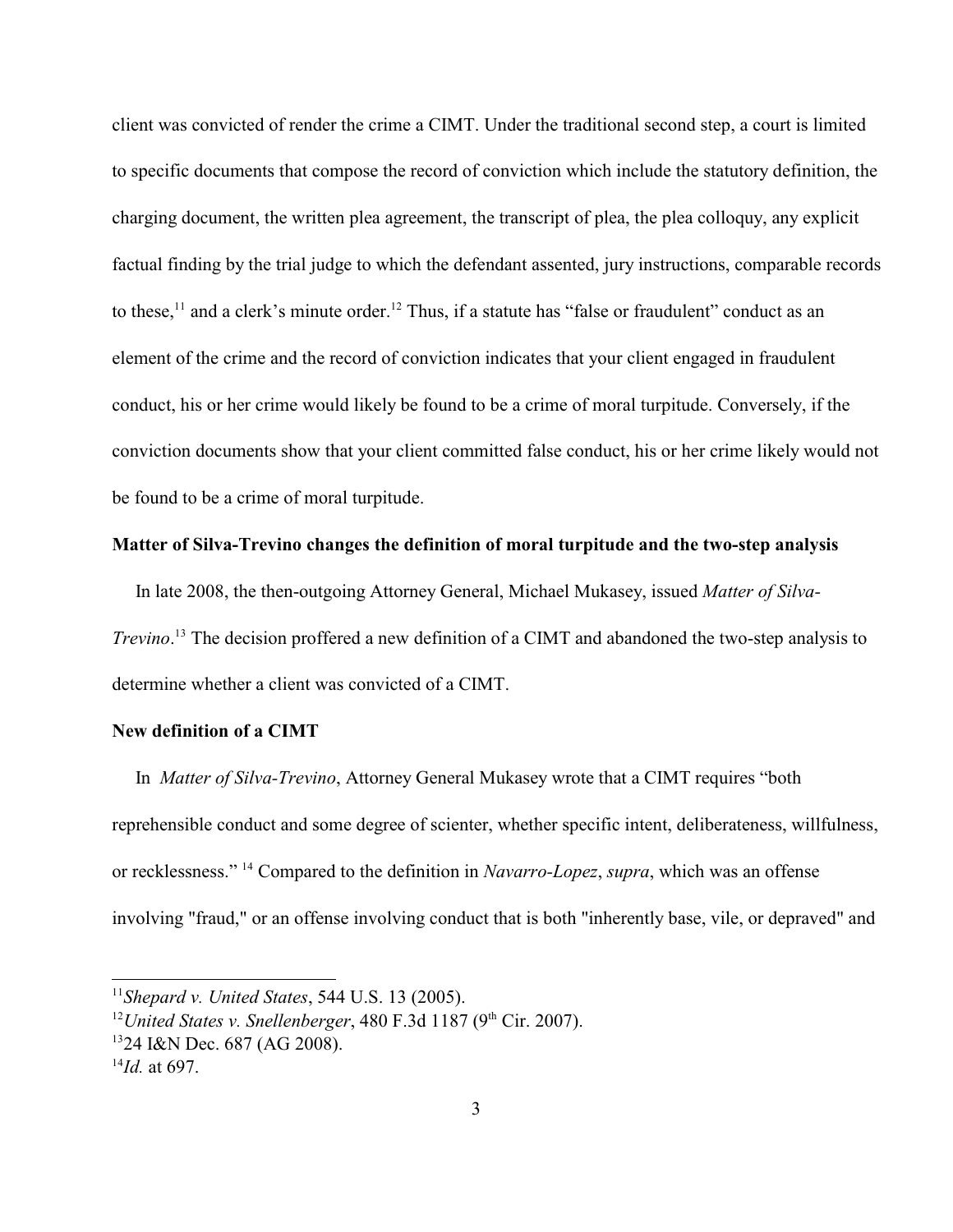client was convicted of render the crime a CIMT. Under the traditional second step, a court is limited to specific documents that compose the record of conviction which include the statutory definition, the charging document, the written plea agreement, the transcript of plea, the plea colloquy, any explicit factual finding by the trial judge to which the defendant assented, jury instructions, comparable records to these,<sup>11</sup> and a clerk's minute order.<sup>12</sup> Thus, if a statute has "false or fraudulent" conduct as an element of the crime and the record of conviction indicates that your client engaged in fraudulent conduct, his or her crime would likely be found to be a crime of moral turpitude. Conversely, if the conviction documents show that your client committed false conduct, his or her crime likely would not be found to be a crime of moral turpitude.

## **Matter of Silva-Trevino changes the definition of moral turpitude and the two-step analysis**

 In late 2008, the then-outgoing Attorney General, Michael Mukasey, issued *Matter of Silva-Trevino*.<sup>13</sup> The decision proffered a new definition of a CIMT and abandoned the two-step analysis to determine whether a client was convicted of a CIMT.

## **New definition of a CIMT**

 In *Matter of Silva-Trevino*, Attorney General Mukasey wrote that a CIMT requires "both reprehensible conduct and some degree of scienter, whether specific intent, deliberateness, willfulness, or recklessness." <sup>14</sup> Compared to the definition in *Navarro-Lopez*, *supra*, which was an offense involving "fraud," or an offense involving conduct that is both "inherently base, vile, or depraved" and

 $^{11}$ *Shepard v. United States*, 544 U.S. 13 (2005).

<sup>&</sup>lt;sup>12</sup> United States v. Snellenberger, 480 F.3d 1187 ( $9<sup>th</sup>$  Cir. 2007).

<sup>&</sup>lt;sup>13</sup>24 I&N Dec. 687 (AG 2008).

 $^{14}$ *Id.* at 697.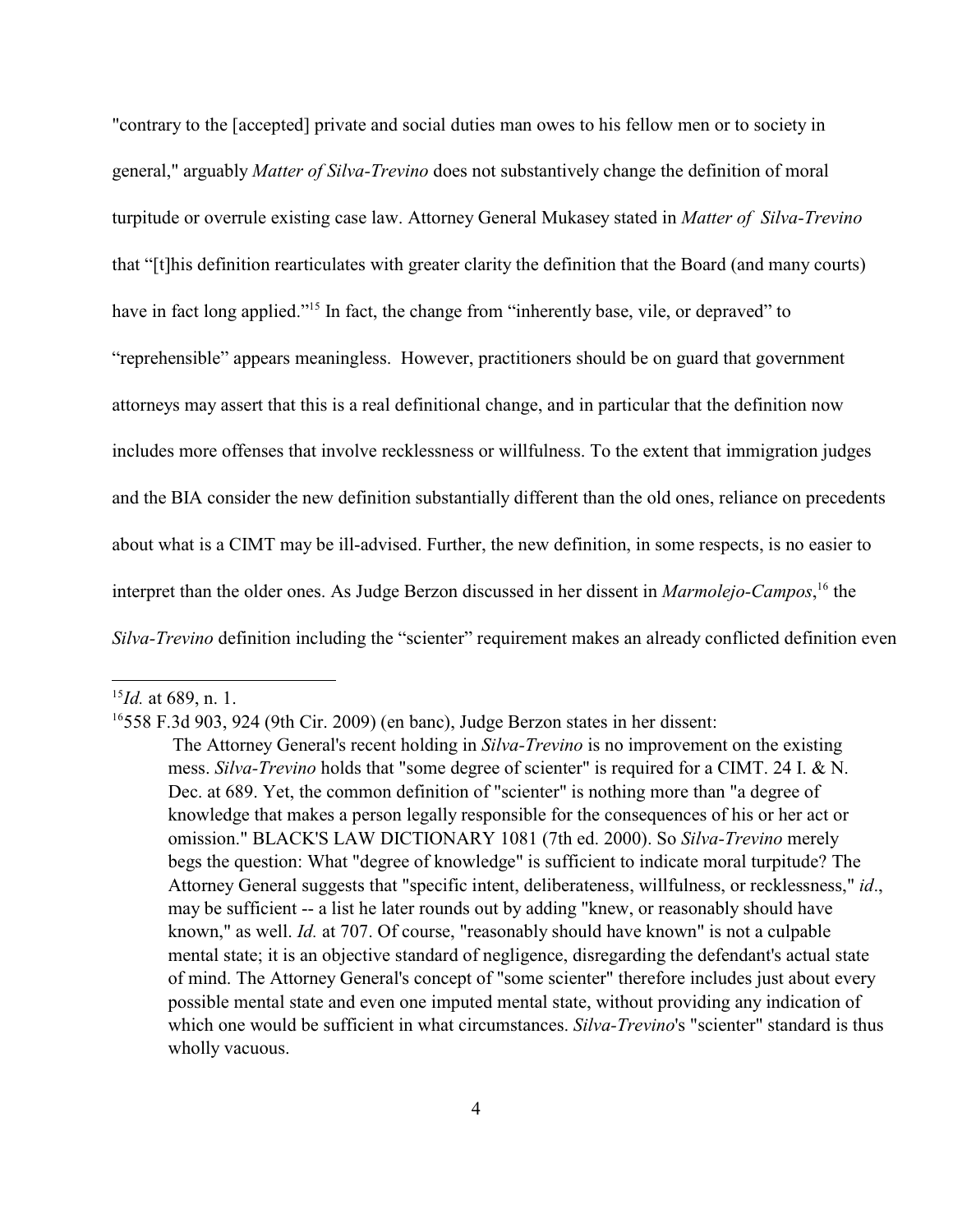"contrary to the [accepted] private and social duties man owes to his fellow men or to society in general," arguably *Matter of Silva-Trevino* does not substantively change the definition of moral turpitude or overrule existing case law. Attorney General Mukasey stated in *Matter of Silva-Trevino* that "[t]his definition rearticulates with greater clarity the definition that the Board (and many courts) have in fact long applied."<sup>15</sup> In fact, the change from "inherently base, vile, or depraved" to "reprehensible" appears meaningless. However, practitioners should be on guard that government attorneys may assert that this is a real definitional change, and in particular that the definition now includes more offenses that involve recklessness or willfulness. To the extent that immigration judges and the BIA consider the new definition substantially different than the old ones, reliance on precedents about what is a CIMT may be ill-advised. Further, the new definition, in some respects, is no easier to interpret than the older ones. As Judge Berzon discussed in her dissent in *Marmolejo-Campos*,<sup>16</sup> the *Silva-Trevino* definition including the "scienter" requirement makes an already conflicted definition even

 $^{15}$ *Id.* at 689, n. 1.

 $16558$  F.3d 903, 924 (9th Cir. 2009) (en banc), Judge Berzon states in her dissent:

The Attorney General's recent holding in *Silva-Trevino* is no improvement on the existing mess. *Silva-Trevino* holds that "some degree of scienter" is required for a CIMT. 24 I. & N. Dec. at 689. Yet, the common definition of "scienter" is nothing more than "a degree of knowledge that makes a person legally responsible for the consequences of his or her act or omission." BLACK'S LAW DICTIONARY 1081 (7th ed. 2000). So *Silva-Trevino* merely begs the question: What "degree of knowledge" is sufficient to indicate moral turpitude? The Attorney General suggests that "specific intent, deliberateness, willfulness, or recklessness," *id*., may be sufficient -- a list he later rounds out by adding "knew, or reasonably should have known," as well. *Id.* at 707. Of course, "reasonably should have known" is not a culpable mental state; it is an objective standard of negligence, disregarding the defendant's actual state of mind. The Attorney General's concept of "some scienter" therefore includes just about every possible mental state and even one imputed mental state, without providing any indication of which one would be sufficient in what circumstances. *Silva-Trevino*'s "scienter" standard is thus wholly vacuous.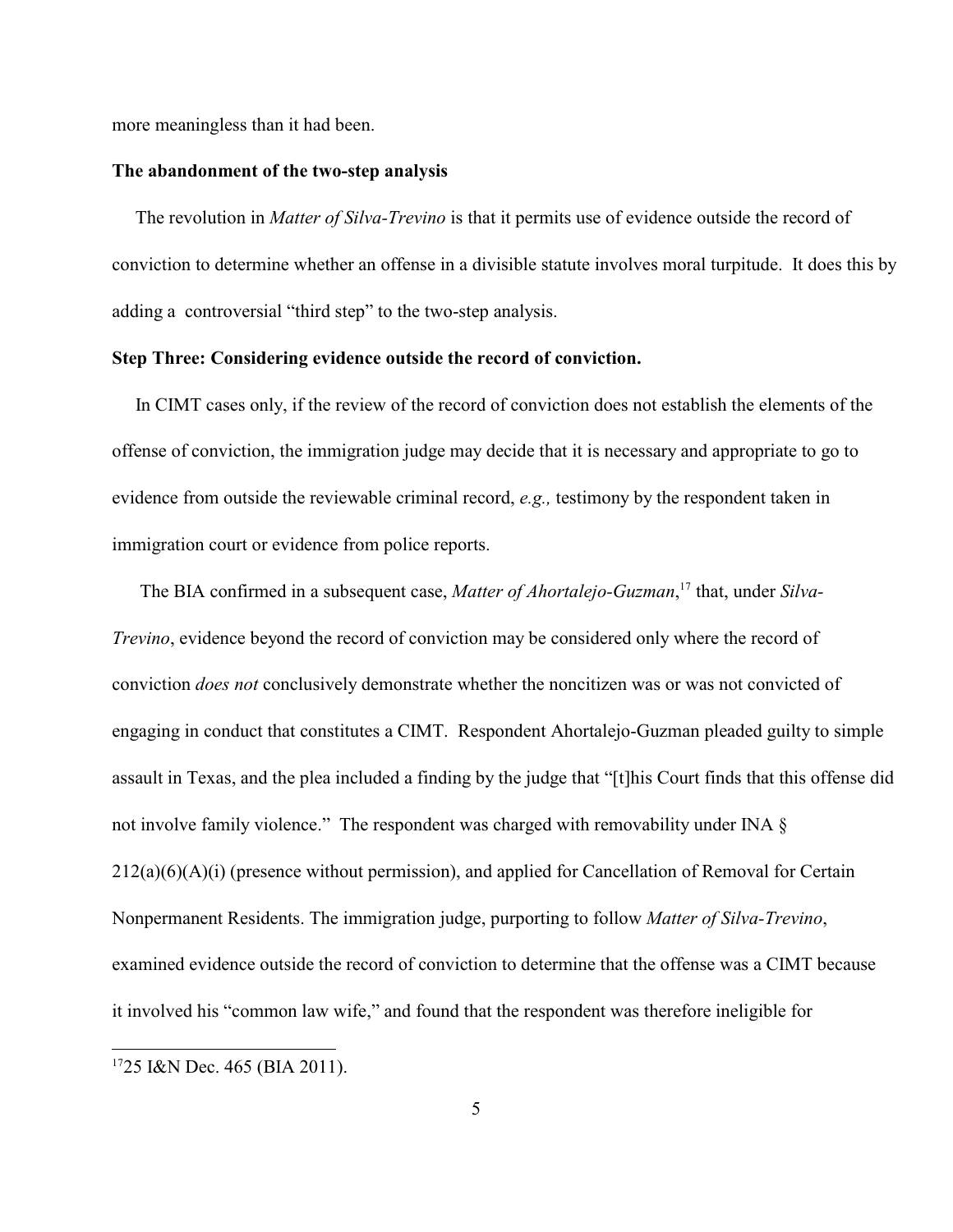more meaningless than it had been.

#### **The abandonment of the two-step analysis**

 The revolution in *Matter of Silva-Trevino* is that it permits use of evidence outside the record of conviction to determine whether an offense in a divisible statute involves moral turpitude. It does this by adding a controversial "third step" to the two-step analysis.

## **Step Three: Considering evidence outside the record of conviction.**

 In CIMT cases only, if the review of the record of conviction does not establish the elements of the offense of conviction, the immigration judge may decide that it is necessary and appropriate to go to evidence from outside the reviewable criminal record, *e.g.,* testimony by the respondent taken in immigration court or evidence from police reports.

The BIA confirmed in a subsequent case, *Matter of Ahortalejo-Guzman*,<sup>17</sup> that, under *Silva*-*Trevino*, evidence beyond the record of conviction may be considered only where the record of conviction *does not* conclusively demonstrate whether the noncitizen was or was not convicted of engaging in conduct that constitutes a CIMT. Respondent Ahortalejo-Guzman pleaded guilty to simple assault in Texas, and the plea included a finding by the judge that "[t]his Court finds that this offense did not involve family violence." The respondent was charged with removability under INA § 212(a)(6)(A)(i) (presence without permission), and applied for Cancellation of Removal for Certain Nonpermanent Residents. The immigration judge, purporting to follow *Matter of Silva-Trevino*, examined evidence outside the record of conviction to determine that the offense was a CIMT because it involved his "common law wife," and found that the respondent was therefore ineligible for

 $1725$  I&N Dec. 465 (BIA 2011).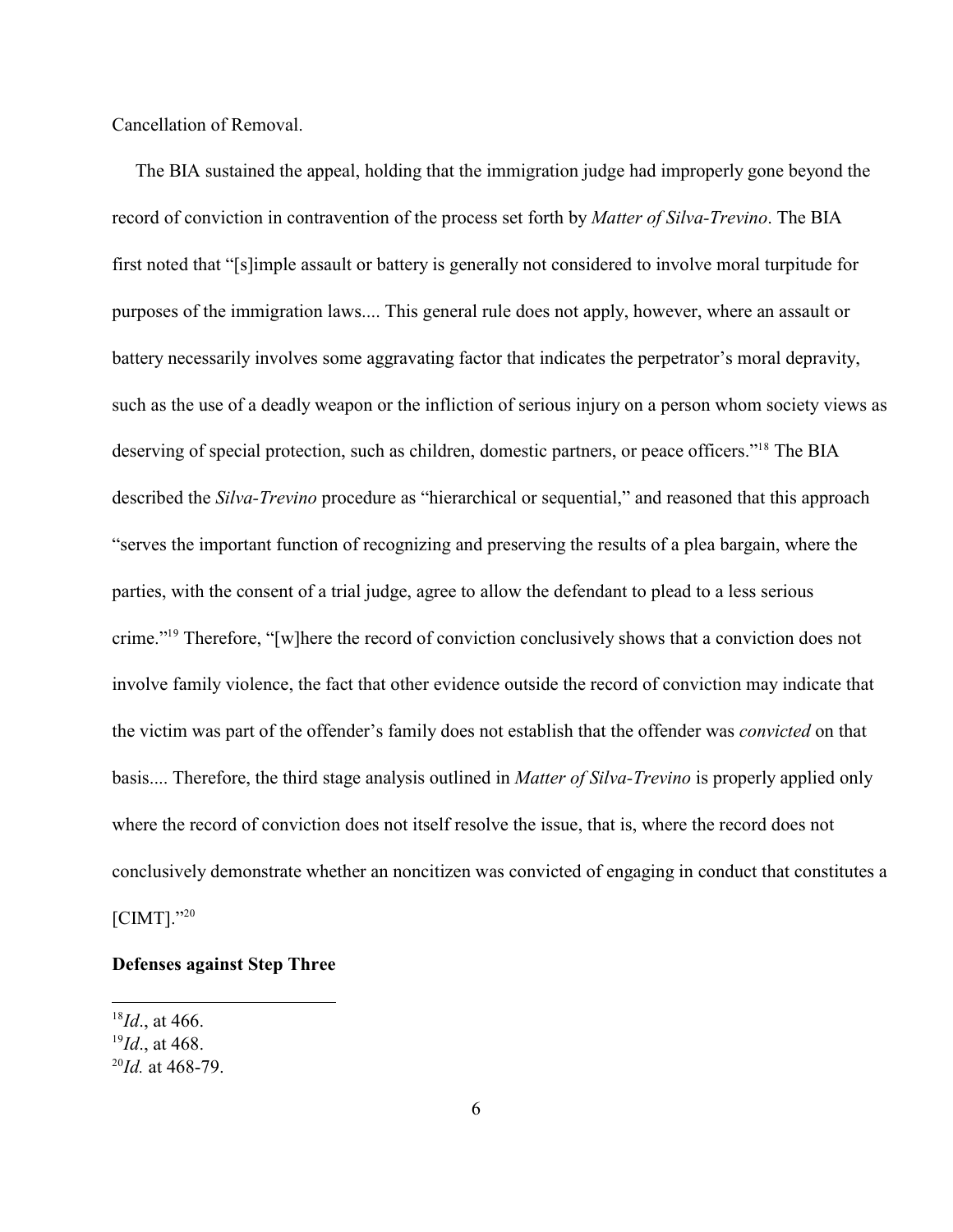Cancellation of Removal.

 The BIA sustained the appeal, holding that the immigration judge had improperly gone beyond the record of conviction in contravention of the process set forth by *Matter of Silva-Trevino*. The BIA first noted that "[s]imple assault or battery is generally not considered to involve moral turpitude for purposes of the immigration laws.... This general rule does not apply, however, where an assault or battery necessarily involves some aggravating factor that indicates the perpetrator's moral depravity, such as the use of a deadly weapon or the infliction of serious injury on a person whom society views as deserving of special protection, such as children, domestic partners, or peace officers."<sup>18</sup> The BIA described the *Silva-Trevino* procedure as "hierarchical or sequential," and reasoned that this approach "serves the important function of recognizing and preserving the results of a plea bargain, where the parties, with the consent of a trial judge, agree to allow the defendant to plead to a less serious crime."<sup>19</sup> Therefore, "[w]here the record of conviction conclusively shows that a conviction does not involve family violence, the fact that other evidence outside the record of conviction may indicate that the victim was part of the offender's family does not establish that the offender was *convicted* on that basis.... Therefore, the third stage analysis outlined in *Matter of Silva-Trevino* is properly applied only where the record of conviction does not itself resolve the issue, that is, where the record does not conclusively demonstrate whether an noncitizen was convicted of engaging in conduct that constitutes a [CIMT]."20

# **Defenses against Step Three**

 $^{18}Id$ ., at 466.

 $^{19}Id.$ , at 468.

 $^{20}$ *Id.* at 468-79.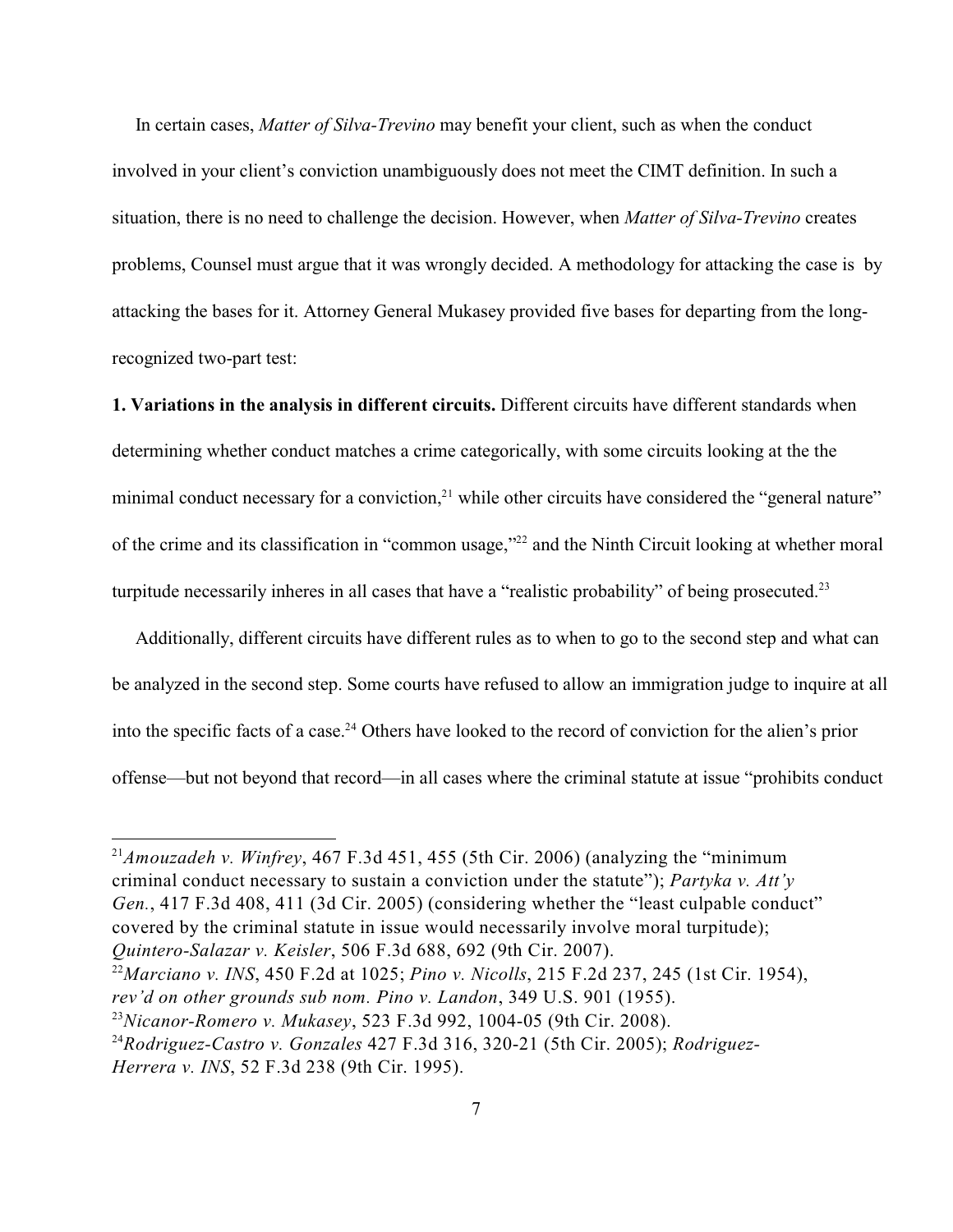In certain cases, *Matter of Silva-Trevino* may benefit your client, such as when the conduct involved in your client's conviction unambiguously does not meet the CIMT definition. In such a situation, there is no need to challenge the decision. However, when *Matter of Silva-Trevino* creates problems, Counsel must argue that it was wrongly decided. A methodology for attacking the case is by attacking the bases for it. Attorney General Mukasey provided five bases for departing from the longrecognized two-part test:

**1. Variations in the analysis in different circuits.** Different circuits have different standards when determining whether conduct matches a crime categorically, with some circuits looking at the the minimal conduct necessary for a conviction, $21$  while other circuits have considered the "general nature" of the crime and its classification in "common usage,"<sup>22</sup> and the Ninth Circuit looking at whether moral turpitude necessarily inheres in all cases that have a "realistic probability" of being prosecuted.<sup>23</sup>

 Additionally, different circuits have different rules as to when to go to the second step and what can be analyzed in the second step. Some courts have refused to allow an immigration judge to inquire at all into the specific facts of a case.<sup>24</sup> Others have looked to the record of conviction for the alien's prior offense—but not beyond that record—in all cases where the criminal statute at issue "prohibits conduct

<sup>&</sup>lt;sup>21</sup>*Amouzadeh v. Winfrey*, 467 F.3d 451, 455 (5th Cir. 2006) (analyzing the "minimum" criminal conduct necessary to sustain a conviction under the statute"); *Partyka v. Att'y Gen.*, 417 F.3d 408, 411 (3d Cir. 2005) (considering whether the "least culpable conduct" covered by the criminal statute in issue would necessarily involve moral turpitude); *Quintero-Salazar v. Keisler*, 506 F.3d 688, 692 (9th Cir. 2007).

*Marciano v. INS*, 450 F.2d at 1025; *Pino v. Nicolls*, 215 F.2d 237, 245 (1st Cir. 1954), <sup>22</sup> *rev'd on other grounds sub nom. Pino v. Landon*, 349 U.S. 901 (1955).

*Nicanor-Romero v. Mukasey*, 523 F.3d 992, 1004-05 (9th Cir. 2008). <sup>23</sup>

*Rodriguez-Castro v. Gonzales* 427 F.3d 316, 320-21 (5th Cir. 2005); *Rodriguez-* <sup>24</sup> *Herrera v. INS*, 52 F.3d 238 (9th Cir. 1995).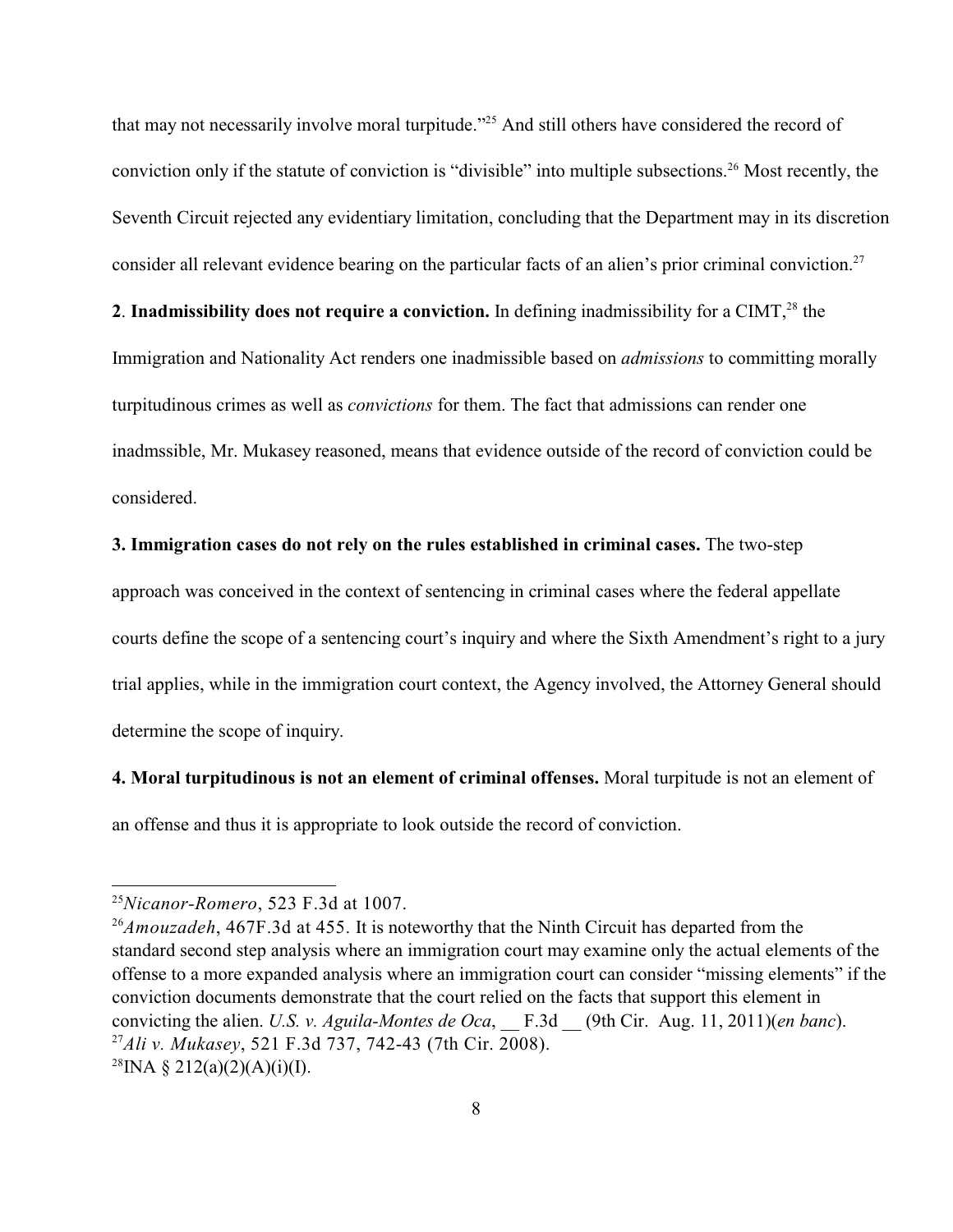that may not necessarily involve moral turpitude."<sup>25</sup> And still others have considered the record of conviction only if the statute of conviction is "divisible" into multiple subsections.<sup>26</sup> Most recently, the Seventh Circuit rejected any evidentiary limitation, concluding that the Department may in its discretion consider all relevant evidence bearing on the particular facts of an alien's prior criminal conviction.<sup>27</sup>

# **2. Inadmissibility does not require a conviction.** In defining inadmissibility for a CIMT,<sup>28</sup> the

Immigration and Nationality Act renders one inadmissible based on *admissions* to committing morally turpitudinous crimes as well as *convictions* for them. The fact that admissions can render one inadmssible, Mr. Mukasey reasoned, means that evidence outside of the record of conviction could be considered.

## **3. Immigration cases do not rely on the rules established in criminal cases.** The two-step

approach was conceived in the context of sentencing in criminal cases where the federal appellate courts define the scope of a sentencing court's inquiry and where the Sixth Amendment's right to a jury trial applies, while in the immigration court context, the Agency involved, the Attorney General should determine the scope of inquiry.

**4. Moral turpitudinous is not an element of criminal offenses.** Moral turpitude is not an element of an offense and thus it is appropriate to look outside the record of conviction.

<sup>&</sup>lt;sup>25</sup>Nicanor-Romero, 523 F.3d at 1007.

<sup>&</sup>lt;sup>26</sup>Amouzadeh, 467F.3d at 455. It is noteworthy that the Ninth Circuit has departed from the standard second step analysis where an immigration court may examine only the actual elements of the offense to a more expanded analysis where an immigration court can consider "missing elements" if the conviction documents demonstrate that the court relied on the facts that support this element in convicting the alien. *U.S. v. Aguila-Montes de Oca*, \_\_ F.3d \_\_ (9th Cir. Aug. 11, 2011)(*en banc*). <sup>27</sup>Ali v. Mukasey, 521 F.3d 737, 742-43 (7th Cir. 2008). <sup>28</sup>INA § 212(a)(2)(A)(i)(I).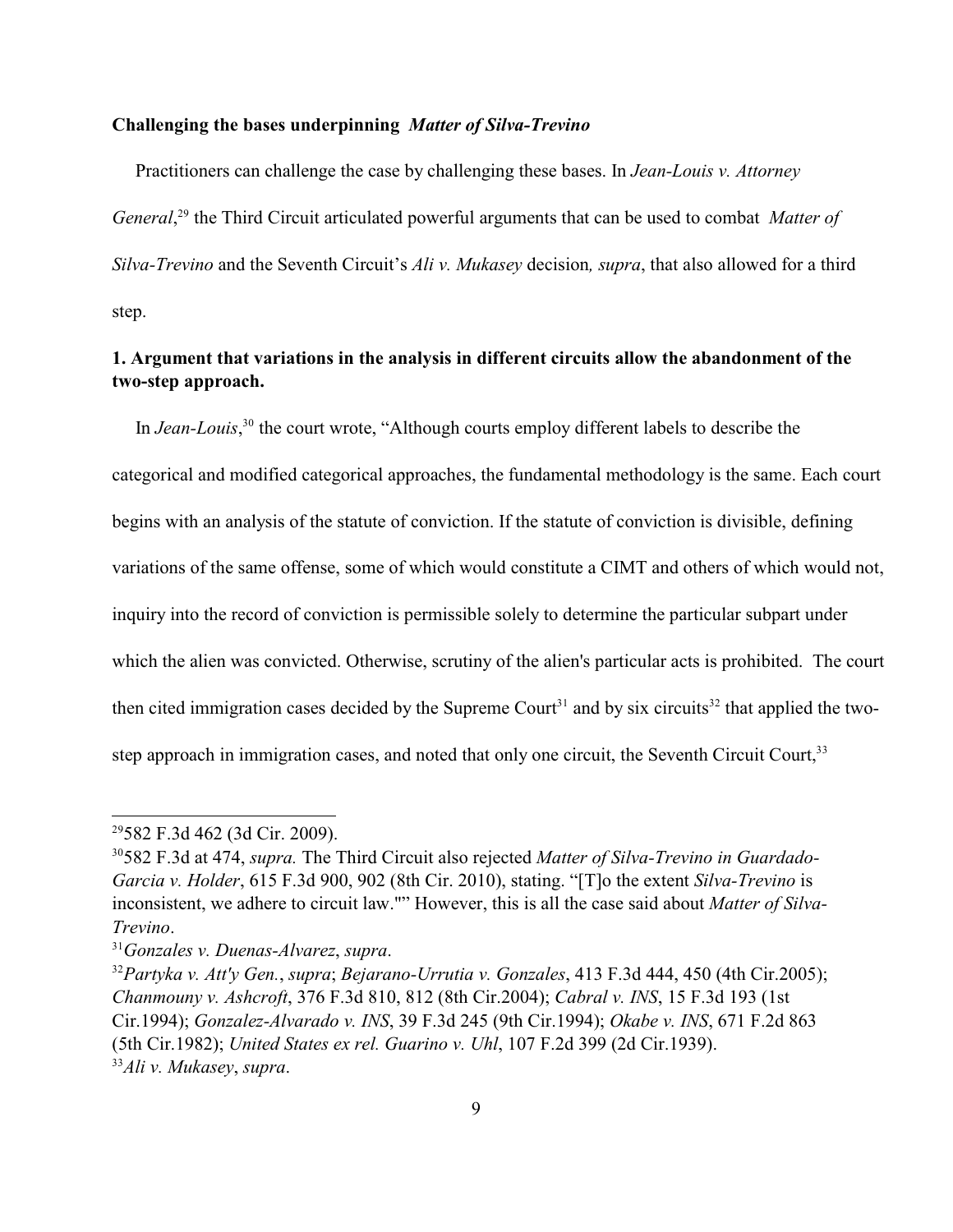#### **Challenging the bases underpinning** *Matter of Silva-Trevino*

 Practitioners can challenge the case by challenging these bases. In *Jean-Louis v. Attorney General*,<sup>29</sup> the Third Circuit articulated powerful arguments that can be used to combat *Matter of Silva-Trevino* and the Seventh Circuit's *Ali v. Mukasey* decision*, supra*, that also allowed for a third step.

# **1. Argument that variations in the analysis in different circuits allow the abandonment of the two-step approach.**

In *Jean-Louis*,<sup>30</sup> the court wrote, "Although courts employ different labels to describe the categorical and modified categorical approaches, the fundamental methodology is the same. Each court begins with an analysis of the statute of conviction. If the statute of conviction is divisible, defining variations of the same offense, some of which would constitute a CIMT and others of which would not, inquiry into the record of conviction is permissible solely to determine the particular subpart under which the alien was convicted. Otherwise, scrutiny of the alien's particular acts is prohibited. The court then cited immigration cases decided by the Supreme Court<sup>31</sup> and by six circuits<sup>32</sup> that applied the twostep approach in immigration cases, and noted that only one circuit, the Seventh Circuit Court,<sup>33</sup>

<sup>&</sup>lt;sup>29</sup>582 F.3d 462 (3d Cir. 2009).

<sup>582</sup> F.3d at 474, *supra.* The Third Circuit also rejected *Matter of Silva-Trevino in Guardado-* <sup>30</sup> *Garcia v. Holder*, 615 F.3d 900, 902 (8th Cir. 2010), stating. "[T]o the extent *Silva-Trevino* is inconsistent, we adhere to circuit law."" However, this is all the case said about *Matter of Silva-Trevino*.

*Gonzales v. Duenas-Alvarez*, *supra*. 31

<sup>&</sup>lt;sup>32</sup> Partyka v. Att'y Gen., *supra*; *Bejarano-Urrutia v. Gonzales*, 413 F.3d 444, 450 (4th Cir.2005); *Chanmouny v. Ashcroft*, 376 F.3d 810, 812 (8th Cir.2004); *Cabral v. INS*, 15 F.3d 193 (1st Cir.1994); *Gonzalez-Alvarado v. INS*, 39 F.3d 245 (9th Cir.1994); *Okabe v. INS*, 671 F.2d 863 (5th Cir.1982); *United States ex rel. Guarino v. Uhl*, 107 F.2d 399 (2d Cir.1939). *Ali v. Mukasey*, *supra*. 33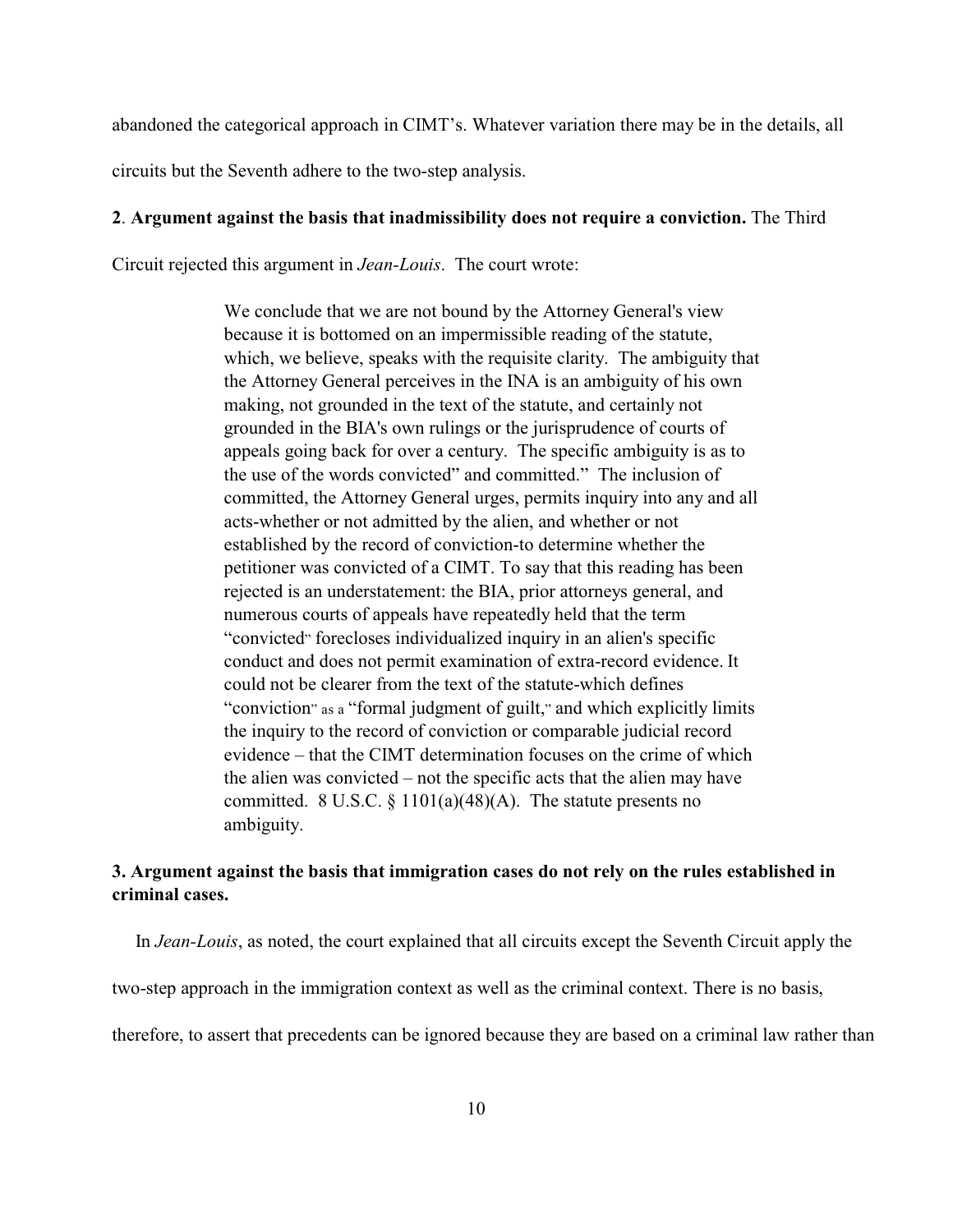abandoned the categorical approach in CIMT's. Whatever variation there may be in the details, all

circuits but the Seventh adhere to the two-step analysis.

## **2**. **Argument against the basis that inadmissibility does not require a conviction.** The Third

Circuit rejected this argument in *Jean-Louis*. The court wrote:

We conclude that we are not bound by the Attorney General's view because it is bottomed on an impermissible reading of the statute, which, we believe, speaks with the requisite clarity. The ambiguity that the Attorney General perceives in the INA is an ambiguity of his own making, not grounded in the text of the statute, and certainly not grounded in the BIA's own rulings or the jurisprudence of courts of appeals going back for over a century. The specific ambiguity is as to the use of the words convicted" and committed." The inclusion of committed, the Attorney General urges, permits inquiry into any and all acts-whether or not admitted by the alien, and whether or not established by the record of conviction-to determine whether the petitioner was convicted of a CIMT. To say that this reading has been rejected is an understatement: the BIA, prior attorneys general, and numerous courts of appeals have repeatedly held that the term "convicted" forecloses individualized inquiry in an alien's specific conduct and does not permit examination of extra-record evidence. It could not be clearer from the text of the statute-which defines "conviction" as a "formal judgment of guilt," and which explicitly limits the inquiry to the record of conviction or comparable judicial record evidence – that the CIMT determination focuses on the crime of which the alien was convicted – not the specific acts that the alien may have committed. 8 U.S.C.  $\S 1101(a)(48)(A)$ . The statute presents no ambiguity.

# **3. Argument against the basis that immigration cases do not rely on the rules established in criminal cases.**

 In *Jean-Louis*, as noted, the court explained that all circuits except the Seventh Circuit apply the two-step approach in the immigration context as well as the criminal context. There is no basis, therefore, to assert that precedents can be ignored because they are based on a criminal law rather than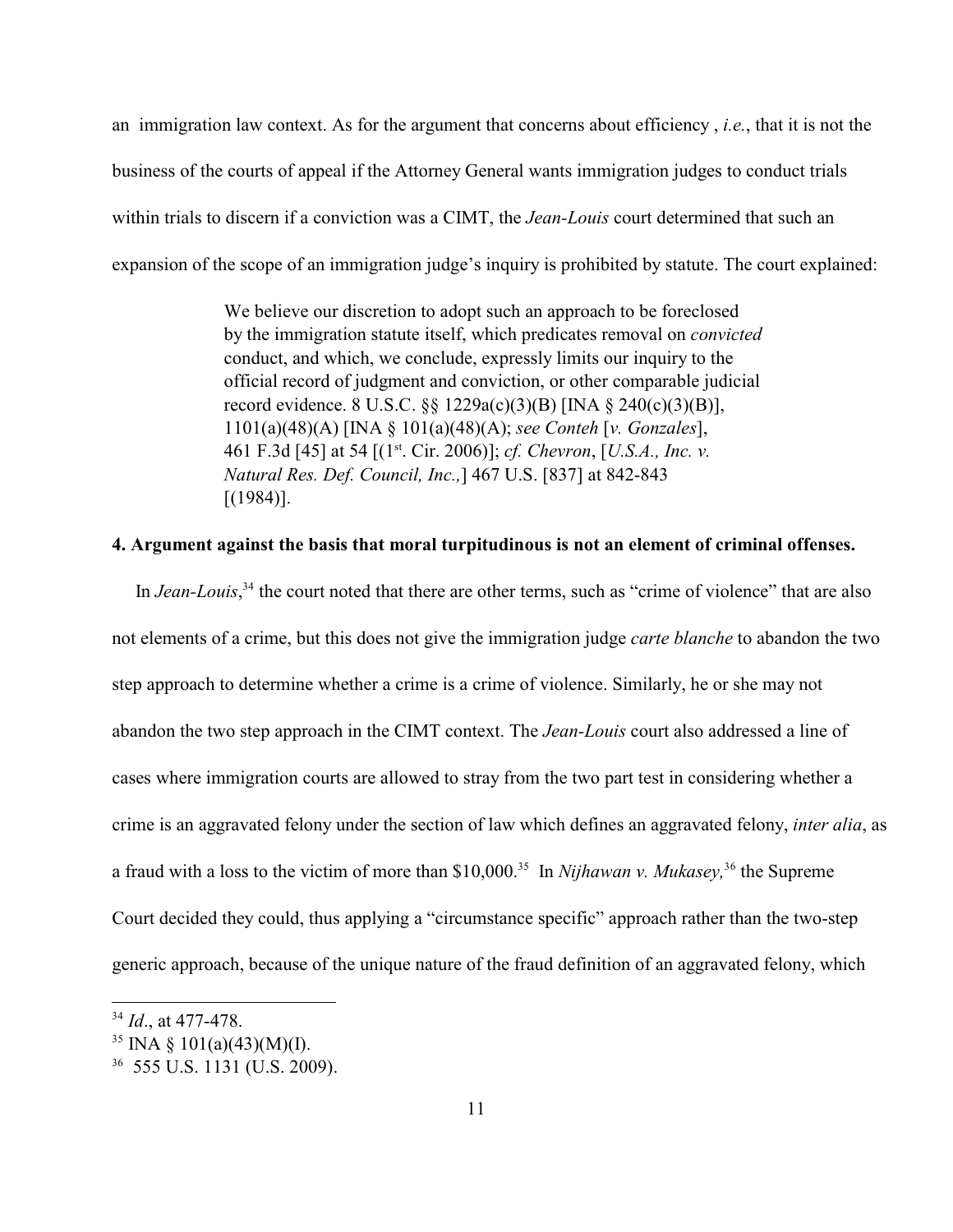an immigration law context. As for the argument that concerns about efficiency , *i.e.*, that it is not the business of the courts of appeal if the Attorney General wants immigration judges to conduct trials within trials to discern if a conviction was a CIMT, the *Jean-Louis* court determined that such an expansion of the scope of an immigration judge's inquiry is prohibited by statute. The court explained:

> We believe our discretion to adopt such an approach to be foreclosed by the immigration statute itself, which predicates removal on *convicted* conduct, and which, we conclude, expressly limits our inquiry to the official record of judgment and conviction, or other comparable judicial record evidence. 8 U.S.C. §§ 1229a(c)(3)(B) [INA § 240(c)(3)(B)], 1101(a)(48)(A) [INA § 101(a)(48)(A); *see Conteh* [*v. Gonzales*], 461 F.3d [45] at 54 [(1<sup>st</sup>. Cir. 2006)]; *cf. Chevron*, [*U.S.A., Inc. v. Natural Res. Def. Council, Inc.,*] 467 U.S. [837] at 842-843  $[(1984)].$

## **4. Argument against the basis that moral turpitudinous is not an element of criminal offenses.**

In *Jean-Louis*,<sup>34</sup> the court noted that there are other terms, such as "crime of violence" that are also not elements of a crime, but this does not give the immigration judge *carte blanche* to abandon the two step approach to determine whether a crime is a crime of violence. Similarly, he or she may not abandon the two step approach in the CIMT context. The *Jean-Louis* court also addressed a line of cases where immigration courts are allowed to stray from the two part test in considering whether a crime is an aggravated felony under the section of law which defines an aggravated felony, *inter alia*, as a fraud with a loss to the victim of more than \$10,000.<sup>35</sup> In *Nijhawan v. Mukasey*, <sup>36</sup> the Supreme Court decided they could, thus applying a "circumstance specific" approach rather than the two-step generic approach, because of the unique nature of the fraud definition of an aggravated felony, which

 $^{34}$  *Id.*, at 477-478.

<sup>&</sup>lt;sup>35</sup> INA § 101(a)(43)(M)(I).

 <sup>555</sup> U.S. 1131 (U.S. 2009). <sup>36</sup>